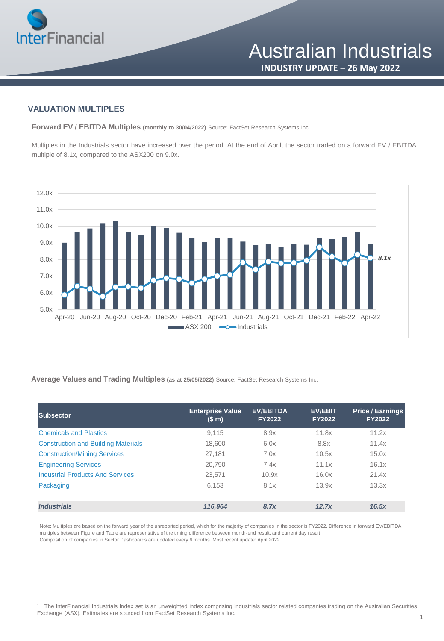

### **VALUATION MULTIPLES**

**Forward EV / EBITDA Multiples (monthly to 30/04/2022)** Source: FactSet Research Systems Inc.

Multiples in the Industrials sector have increased over the period. At the end of April, the sector traded on a forward EV / EBITDA multiple of 8.1x, compared to the ASX200 on 9.0x.



#### **Average Values and Trading Multiples (as at 25/05/2022)** Source: FactSet Research Systems Inc.

| Subsector                                  | <b>Enterprise Value</b><br>(\$m) | <b>EV/EBITDA</b><br><b>FY2022</b> | <b>EV/EBIT</b><br><b>FY2022</b> | <b>Price / Earnings</b><br><b>FY2022</b> |
|--------------------------------------------|----------------------------------|-----------------------------------|---------------------------------|------------------------------------------|
| <b>Chemicals and Plastics</b>              | 9.115                            | 8.9x                              | 11.8x                           | 11.2x                                    |
| <b>Construction and Building Materials</b> | 18.600                           | 6.0x                              | 8.8x                            | 11.4x                                    |
| <b>Construction/Mining Services</b>        | 27,181                           | 7.0x                              | 10.5x                           | 15.0x                                    |
| <b>Engineering Services</b>                | 20,790                           | 7.4x                              | 11.1x                           | 16.1x                                    |
| <b>Industrial Products And Services</b>    | 23,571                           | 10.9x                             | 16.0x                           | 21.4x                                    |
| Packaging                                  | 6.153                            | 8.1x                              | 13.9x                           | 13.3x                                    |
| <b>Industrials</b>                         | 116.964                          | 8.7x                              | 12.7x                           | 16.5x                                    |

Note: Multiples are based on the forward year of the unreported period, which for the majority of companies in the sector is FY2022. Difference in forward EV/EBITDA multiples between Figure and Table are representative of the timing difference between month-end result, and current day result. Composition of companies in Sector Dashboards are updated every 6 months. Most recent update: April 2022.

<sup>1</sup> The InterFinancial Industrials Index set is an unweighted index comprising Industrials sector related companies trading on the Australian Securities Exchange (ASX). Estimates are sourced from FactSet Research Systems Inc.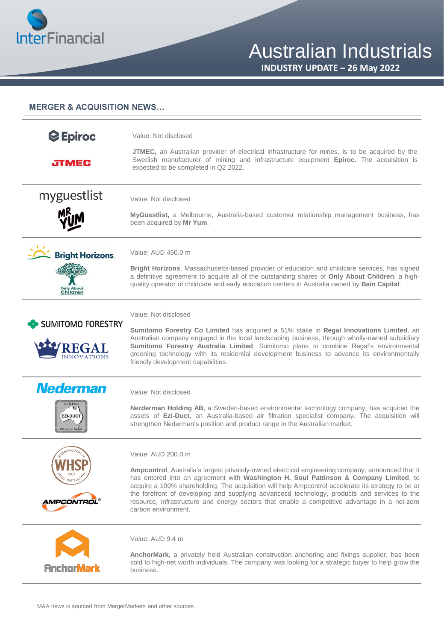

**INDUSTRY UPDATE – 26 May 2022**

#### **MERGER & ACQUISITION NEWS…**

| <b>C</b> Epiroc                                        | Value: Not disclosed                                                                                                                                                                                                                                                                                                                                                                                                                                                                              |
|--------------------------------------------------------|---------------------------------------------------------------------------------------------------------------------------------------------------------------------------------------------------------------------------------------------------------------------------------------------------------------------------------------------------------------------------------------------------------------------------------------------------------------------------------------------------|
| <b>JIMEC</b>                                           | <b>JTMEC</b> , an Australian provider of electrical infrastructure for mines, is to be acquired by the<br>Swedish manufacturer of mining and infrastructure equipment Epiroc. The acquisition is<br>expected to be completed in Q2 2022.                                                                                                                                                                                                                                                          |
| myguestlist                                            | Value: Not disclosed                                                                                                                                                                                                                                                                                                                                                                                                                                                                              |
|                                                        | MyGuestlist, a Melbourne, Australia-based customer relationship management business, has<br>been acquired by Mr Yum.                                                                                                                                                                                                                                                                                                                                                                              |
| <b>Bright Horizons.</b>                                | Value: AUD 450.0 m                                                                                                                                                                                                                                                                                                                                                                                                                                                                                |
| <b>Only About</b><br>Children                          | <b>Bright Horizons</b> , Massachusetts-based provider of education and childcare services, has signed<br>a definitive agreement to acquire all of the outstanding shares of Only About Children, a high-<br>quality operator of childcare and early education centers in Australia owned by Bain Capital.                                                                                                                                                                                         |
|                                                        | Value: Not disclosed                                                                                                                                                                                                                                                                                                                                                                                                                                                                              |
| <b>SUMITOMO FORESTRY</b><br>REGA<br><b>INNOVATIONS</b> | Sumitomo Forestry Co Limited has acquired a 51% stake in Regal Innovations Limited, an<br>Australian company engaged in the local landscaping business, through wholly-owned subsidiary<br>Sumitomo Forestry Australia Limited. Sumitomo plans to combine Regal's environmental<br>greening technology with its residential development business to advance its environmentally<br>friendly development capabilities.                                                                             |
| <b>Nederman</b>                                        | Value: Not disclosed                                                                                                                                                                                                                                                                                                                                                                                                                                                                              |
| <b>EZI-DUCT</b><br>EZI on your Bu                      | Nerderman Holding AB, a Sweden-based environmental technology company, has acquired the<br>assets of Ezi-Duct, an Australia-based air filtration specialist company. The acquisition will<br>strengthen Nederman's position and product range in the Australian market.                                                                                                                                                                                                                           |
|                                                        | Value: AUD 200.0 m                                                                                                                                                                                                                                                                                                                                                                                                                                                                                |
| A <i>MPCONTRL</i>                                      | Ampcontrol, Australia's largest privately-owned electrical engineering company, announced that it<br>has entered into an agreement with Washington H. Soul Pattinson & Company Limited, to<br>acquire a 100% shareholding. The acquisition will help Ampcontrol accelerate its strategy to be at<br>the forefront of developing and supplying advancecd technology, products and services to the<br>resource, infrastructure and energy sectors that enable a competitive advantage in a net-zero |
|                                                        | carbon environment.                                                                                                                                                                                                                                                                                                                                                                                                                                                                               |
|                                                        | Value: AUD 9.4 m                                                                                                                                                                                                                                                                                                                                                                                                                                                                                  |
| <b>AnchorMark</b>                                      | AnchorMark, a privately held Australian construction anchoring and fixings supplier, has been<br>sold to high-net worth individuals. The company was looking for a strategic buyer to help grow the<br>business.                                                                                                                                                                                                                                                                                  |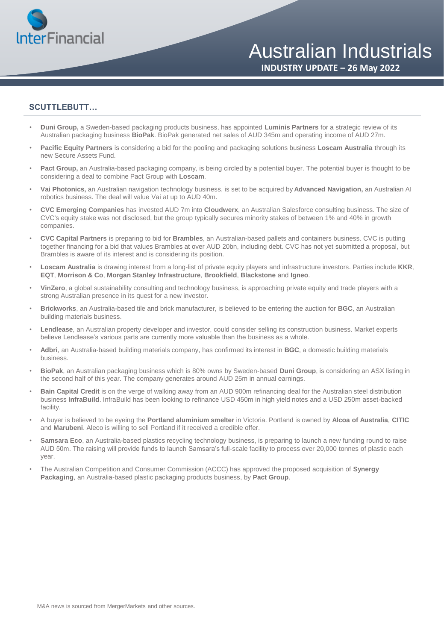

**INDUSTRY UPDATE – 26 May 2022**

#### **SCUTTLEBUTT…**

- **Duni Group,** a Sweden-based packaging products business, has appointed **Luminis Partners** for a strategic review of its Australian packaging business **BioPak**. BioPak generated net sales of AUD 345m and operating income of AUD 27m.
- **Pacific Equity Partners** is considering a bid for the pooling and packaging solutions business **Loscam Australia** through its new Secure Assets Fund.
- Pact Group, an Australia-based packaging company, is being circled by a potential buyer. The potential buyer is thought to be considering a deal to combine Pact Group with **Loscam**.
- **Vai Photonics,** an Australian navigation technology business, is set to be acquired by **Advanced Navigation,** an Australian AI robotics business. The deal will value Vai at up to AUD 40m.
- **CVC Emerging Companies** has invested AUD 7m into **Cloudwerx**, an Australian Salesforce consulting business. The size of CVC's equity stake was not disclosed, but the group typically secures minority stakes of between 1% and 40% in growth companies.
- **CVC Capital Partners** is preparing to bid for **Brambles**, an Australian-based pallets and containers business. CVC is putting together financing for a bid that values Brambles at over AUD 20bn, including debt. CVC has not yet submitted a proposal, but Brambles is aware of its interest and is considering its position.
- **Loscam Australia** is drawing interest from a long-list of private equity players and infrastructure investors. Parties include **KKR**, **EQT**, **Morrison & Co**, **Morgan Stanley Infrastructure**, **Brookfield**, **Blackstone** and **Igneo**.
- **VinZero**, a global sustainability consulting and technology business, is approaching private equity and trade players with a strong Australian presence in its quest for a new investor.
- **Brickworks**, an Australia-based tile and brick manufacturer, is believed to be entering the auction for **BGC**, an Australian building materials business.
- **Lendlease**, an Australian property developer and investor, could consider selling its construction business. Market experts believe Lendlease's various parts are currently more valuable than the business as a whole.
- **Adbri**, an Australia-based building materials company, has confirmed its interest in **BGC**, a domestic building materials business.
- **BioPak**, an Australian packaging business which is 80% owns by Sweden-based **Duni Group**, is considering an ASX listing in the second half of this year. The company generates around AUD 25m in annual earnings.
- **Bain Capital Credit** is on the verge of walking away from an AUD 900m refinancing deal for the Australian steel distribution business **InfraBuild**. InfraBuild has been looking to refinance USD 450m in high yield notes and a USD 250m asset-backed facility.
- A buyer is believed to be eyeing the **Portland aluminium smelter** in Victoria. Portland is owned by **Alcoa of Australia**, **CITIC**  and **Marubeni**. Aleco is willing to sell Portland if it received a credible offer.
- **Samsara Eco**, an Australia-based plastics recycling technology business, is preparing to launch a new funding round to raise AUD 50m. The raising will provide funds to launch Samsara's full-scale facility to process over 20,000 tonnes of plastic each year.
- The Australian Competition and Consumer Commission (ACCC) has approved the proposed acquisition of **Synergy Packaging**, an Australia-based plastic packaging products business, by **Pact Group**.